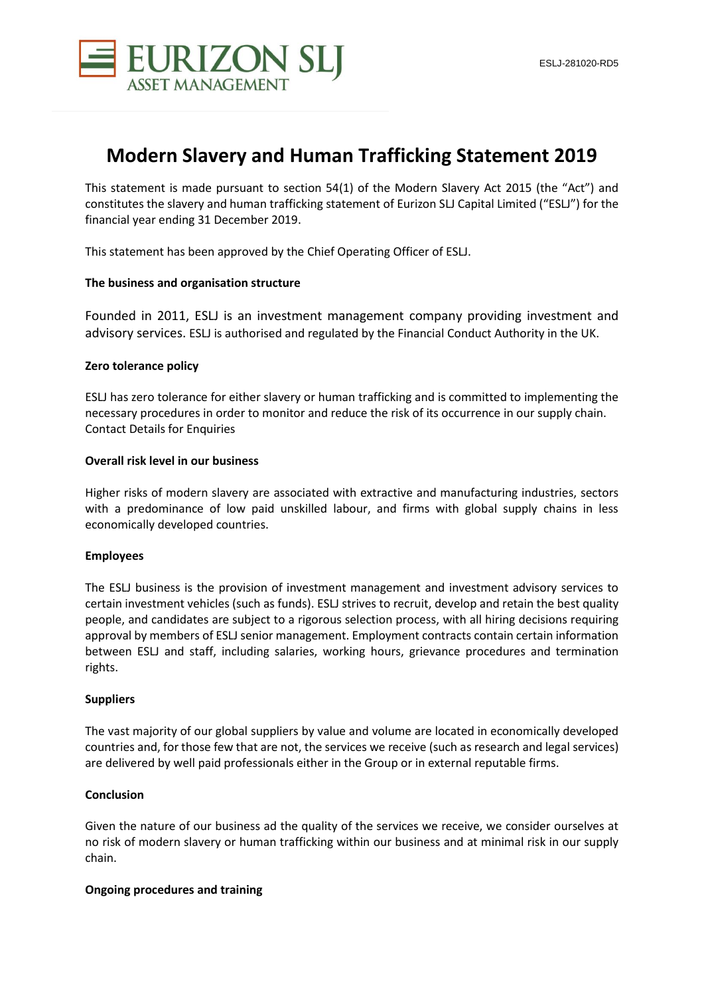



# **Modern Slavery and Human Trafficking Statement 2019**

This statement is made pursuant to section 54(1) of the Modern Slavery Act 2015 (the "Act") and constitutes the slavery and human trafficking statement of Eurizon SLJ Capital Limited ("ESLJ") for the financial year ending 31 December 2019.

This statement has been approved by the Chief Operating Officer of ESLJ.

### **The business and organisation structure**

Founded in 2011, ESLJ is an investment management company providing investment and advisory services. ESLJ is authorised and regulated by the Financial Conduct Authority in the UK.

### **Zero tolerance policy**

ESLJ has zero tolerance for either slavery or human trafficking and is committed to implementing the necessary procedures in order to monitor and reduce the risk of its occurrence in our supply chain. Contact Details for Enquiries

### **Overall risk level in our business**

Higher risks of modern slavery are associated with extractive and manufacturing industries, sectors with a predominance of low paid unskilled labour, and firms with global supply chains in less economically developed countries.

### **Employees**

The ESLJ business is the provision of investment management and investment advisory services to certain investment vehicles (such as funds). ESLJ strives to recruit, develop and retain the best quality people, and candidates are subject to a rigorous selection process, with all hiring decisions requiring approval by members of ESLJ senior management. Employment contracts contain certain information between ESLJ and staff, including salaries, working hours, grievance procedures and termination rights.

### **Suppliers**

The vast majority of our global suppliers by value and volume are located in economically developed countries and, for those few that are not, the services we receive (such as research and legal services) are delivered by well paid professionals either in the Group or in external reputable firms.

### **Conclusion**

Given the nature of our business ad the quality of the services we receive, we consider ourselves at no risk of modern slavery or human trafficking within our business and at minimal risk in our supply chain.

## **Ongoing procedures and training**